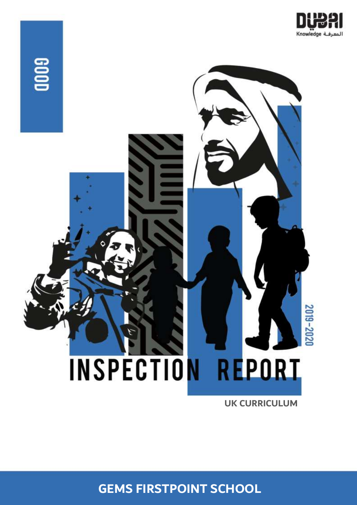



**UK CURRICULUM**

**GEMS FIRSTPOINT SCHOOL**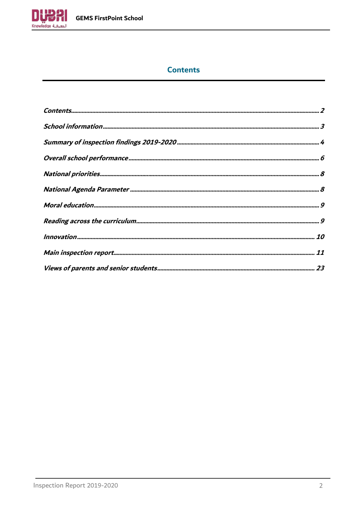

# **Contents**

<span id="page-1-0"></span>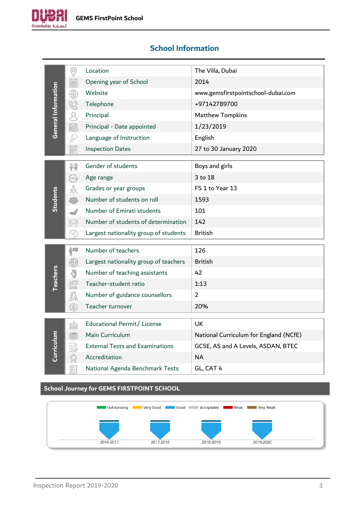

<span id="page-2-0"></span>

|                     | ⊚                       | Location                                         | The Villa, Dubai                       |
|---------------------|-------------------------|--------------------------------------------------|----------------------------------------|
|                     | i                       | Opening year of School                           | 2014                                   |
|                     | ₩                       | Website                                          | www.gemsfirstpointschool-dubai.com     |
|                     | G                       | Telephone                                        | +97142789700                           |
|                     |                         | Principal                                        | <b>Matthew Tompkins</b>                |
| General Information | ij                      | Principal - Date appointed                       | 1/23/2019                              |
|                     |                         | Language of Instruction                          | English                                |
|                     | È                       | <b>Inspection Dates</b>                          | 27 to 30 January 2020                  |
|                     |                         |                                                  |                                        |
|                     | 88                      | Gender of students                               | Boys and girls                         |
|                     | $\overline{\text{max}}$ | Age range                                        | 3 to 18                                |
|                     | å                       | Grades or year groups                            | FS 1 to Year 13                        |
| Students            | 榔                       | Number of students on roll                       | 1593                                   |
|                     |                         | Number of Emirati students                       | 101                                    |
|                     | 19                      | Number of students of determination              | 142                                    |
|                     |                         | Largest nationality group of students            | <b>British</b>                         |
|                     |                         |                                                  |                                        |
|                     | i''                     | Number of teachers                               | 126                                    |
|                     | 68                      | Largest nationality group of teachers            | <b>British</b>                         |
| <b>Teachers</b>     |                         | Number of teaching assistants                    | 42                                     |
|                     | 8년의<br>8888             | Teacher-student ratio                            | 1:13                                   |
|                     | s.                      | Number of guidance counsellors                   | $\overline{2}$                         |
|                     | (Å)                     | Teacher turnover                                 | 20%                                    |
|                     |                         |                                                  |                                        |
|                     | m                       | Educational Permit/ License                      | <b>UK</b>                              |
| Curriculum          |                         | Main Curriculum                                  | National Curriculum for England (NCfE) |
|                     |                         | <b>External Tests and Examinations</b>           | GCSE, AS and A Levels, ASDAN, BTEC     |
|                     |                         | Accreditation                                    | <b>NA</b>                              |
|                     | E-                      | National Agenda Benchmark Tests                  | GL, CAT 4                              |
|                     |                         |                                                  |                                        |
|                     |                         | <b>School Journey for GEMS FIRSTPOINT SCHOOL</b> |                                        |

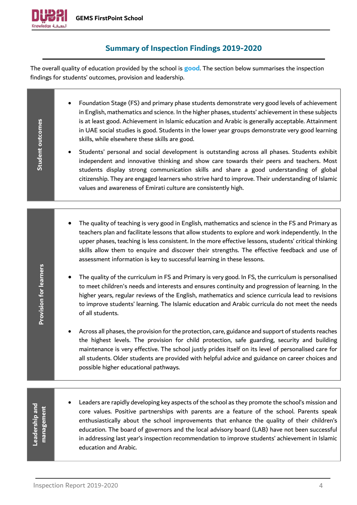

# **Summary of Inspection Findings 2019-2020**

<span id="page-3-0"></span>The overall quality of education provided by the school is **good**. The section below summarises the inspection findings for students' outcomes, provision and leadership.

• Foundation Stage (FS) and primary phase students demonstrate very good levels of achievement in English, mathematics and science. In the higher phases, students' achievement in these subjects is at least good. Achievement in Islamic education and Arabic is generally acceptable. Attainment **outcomes** in UAE social studies is good. Students in the lower year groups demonstrate very good learning skills, while elsewhere these skills are good. **Student**  • Students' personal and social development is outstanding across all phases. Students exhibit independent and innovative thinking and show care towards their peers and teachers. Most students display strong communication skills and share a good understanding of global citizenship. They are engaged learners who strive hard to improve. Their understanding of Islamic values and awareness of Emirati culture are consistently high. • The quality of teaching is very good in English, mathematics and science in the FS and Primary as teachers plan and facilitate lessons that allow students to explore and work independently. In the upper phases, teaching is less consistent. In the more effective lessons, students' critical thinking skills allow them to enquire and discover their strengths. The effective feedback and use of assessment information is key to successful learning in these lessons. **Provision for learners Provision for learners** • The quality of the curriculum in FS and Primary is very good. In FS, the curriculum is personalised to meet children's needs and interests and ensures continuity and progression of learning. In the higher years, regular reviews of the English, mathematics and science curricula lead to revisions to improve students' learning. The Islamic education and Arabic curricula do not meet the needs of all students. • Across all phases, the provision for the protection, care, guidance and support of students reaches the highest levels. The provision for child protection, safe guarding, security and building maintenance is very effective. The school justly prides itself on its level of personalised care for all students. Older students are provided with helpful advice and guidance on career choices and possible higher educational pathways. • Leaders are rapidly developing key aspects of the school as they promote the school's mission and **Leadership and**  Leadership and management **management** core values. Positive partnerships with parents are a feature of the school. Parents speak enthusiastically about the school improvements that enhance the quality of their children's education. The board of governors and the local advisory board (LAB) have not been successful in addressing last year's inspection recommendation to improve students' achievement in Islamic education and Arabic.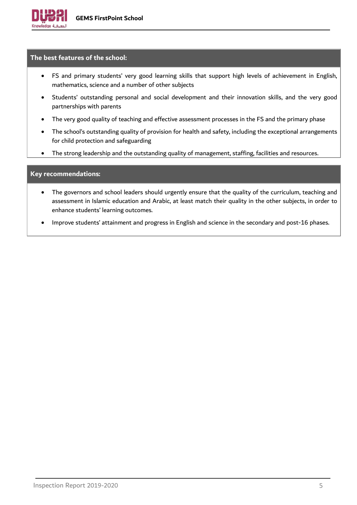## **The best features of the school:**

- FS and primary students' very good learning skills that support high levels of achievement in English, mathematics, science and a number of other subjects
- Students' outstanding personal and social development and their innovation skills, and the very good partnerships with parents
- The very good quality of teaching and effective assessment processes in the FS and the primary phase
- The school's outstanding quality of provision for health and safety, including the exceptional arrangements for child protection and safeguarding
- The strong leadership and the outstanding quality of management, staffing, facilities and resources.

## **Key recommendations:**

- The governors and school leaders should urgently ensure that the quality of the curriculum, teaching and assessment in Islamic education and Arabic, at least match their quality in the other subjects, in order to enhance students' learning outcomes.
- Improve students' attainment and progress in English and science in the secondary and post-16 phases.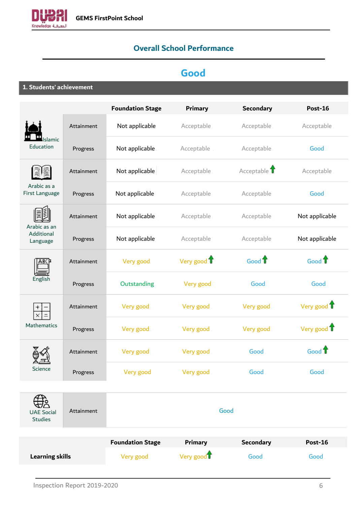<span id="page-5-0"></span>

# **Overall School Performance**

# **Good**

**1. Students' achievement**

|                                        |            | <b>Foundation Stage</b> | <b>Primary</b>         | <b>Secondary</b>  | <b>Post-16</b>    |
|----------------------------------------|------------|-------------------------|------------------------|-------------------|-------------------|
|                                        | Attainment | Not applicable          | Acceptable             | Acceptable        | Acceptable        |
| Islamic<br>Education                   | Progress   | Not applicable          | Acceptable             | Acceptable        | Good              |
|                                        | Attainment | Not applicable          | Acceptable             | Acceptable 1      | Acceptable        |
| Arabic as a<br>First Language          | Progress   | Not applicable          | Acceptable             | Acceptable        | Good              |
|                                        | Attainment | Not applicable          | Acceptable             | Acceptable        | Not applicable    |
| Arabic as an<br>Additional<br>Language | Progress   | Not applicable          | Acceptable             | Acceptable        | Not applicable    |
| ABC                                    | Attainment | Very good               | Very good T            | Good <sup>1</sup> | Good <sup>1</sup> |
| English                                | Progress   | Outstanding             | Very good              | Good              | Good              |
|                                        | Attainment | Very good               | Very good              | Very good         | Very good 1       |
| Mathematics                            | Progress   | Very good               | Very good              | Very good         | Very good 1       |
|                                        | Attainment | Very good               | Very good              | Good              | Good <sup>1</sup> |
| Science                                | Progress   | Very good               | Very good              | Good              | Good              |
|                                        |            |                         |                        |                   |                   |
| <b>UAE Social</b><br><b>Studies</b>    | Attainment |                         |                        | Good              |                   |
|                                        |            |                         |                        |                   |                   |
|                                        |            | <b>Foundation Stage</b> | <b>Primary</b>         | <b>Secondary</b>  | <b>Post-16</b>    |
| <b>Learning skills</b>                 |            | Very good               | Very good <sup>1</sup> | Good              | Good              |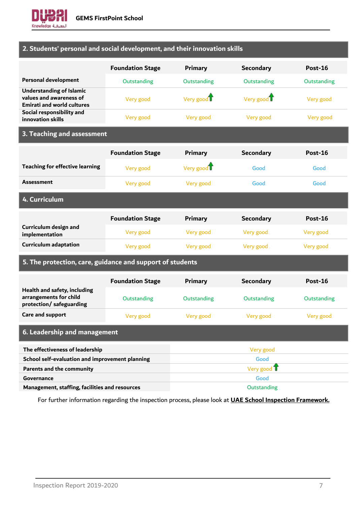

# **2. Students' personal and social development, and their innovation skills**

|                                                                                                 | <b>Foundation Stage</b> | <b>Primary</b>         | <b>Secondary</b>       | Post-16     |
|-------------------------------------------------------------------------------------------------|-------------------------|------------------------|------------------------|-------------|
| <b>Personal development</b>                                                                     | Outstanding             | Outstanding            | Outstanding            | Outstanding |
| <b>Understanding of Islamic</b><br>values and awareness of<br><b>Emirati and world cultures</b> | Very good               | Very good <sup>1</sup> | Very good <sup>1</sup> | Very good   |
| Social responsibility and<br>innovation skills                                                  | Very good               | Very good              | Very good              | Very good   |
|                                                                                                 |                         |                        |                        |             |

## **3. Teaching and assessment**

|                                         | <b>Foundation Stage</b> | Primary   | <b>Secondary</b> | Post-16   |
|-----------------------------------------|-------------------------|-----------|------------------|-----------|
| <b>Teaching for effective learning</b>  | Very good               | Very good | Good             | Good.     |
| <b>Assessment</b>                       | Very good               | Very good | Good             | Good.     |
| 4. Curriculum                           |                         |           |                  |           |
|                                         |                         |           |                  |           |
|                                         | <b>Foundation Stage</b> | Primary   | <b>Secondary</b> | Post-16   |
| Curriculum design and<br>implementation | Very good               | Very good | Very good        | Very good |

# **5. The protection, care, guidance and support of students**

|                                                                                   | <b>Foundation Stage</b> | Primary     | <b>Secondary</b> | Post-16            |  |
|-----------------------------------------------------------------------------------|-------------------------|-------------|------------------|--------------------|--|
| Health and safety, including<br>arrangements for child<br>protection/safeguarding | Outstanding             | Outstanding | Outstanding      | <b>Outstanding</b> |  |
| Care and support                                                                  | Very good               | Very good   | Very good        | Very good          |  |
| 6. Leadership and management                                                      |                         |             |                  |                    |  |
| The effectiveness of leadership                                                   |                         |             | Very good        |                    |  |
| School self-evaluation and improvement planning                                   |                         | Good        |                  |                    |  |
| Parents and the community                                                         |                         |             | Very good T      |                    |  |
| Governance                                                                        |                         |             | Good             |                    |  |
| Management, staffing, facilities and resources                                    |                         |             | Outstanding      |                    |  |

For further information regarding the inspection process, please look at **[UAE School Inspection Framework.](https://www.khda.gov.ae/Areas/Administration/Content/FileUploads/Publication/Documents/English/20170112135640_KHDAINSPECTIONFRAMEWORKEN.pdf)**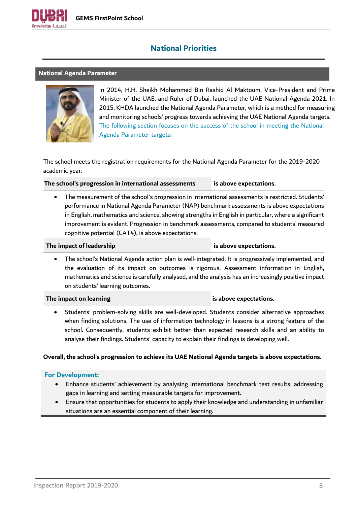

# **National Priorities**

#### <span id="page-7-1"></span><span id="page-7-0"></span>**National Agenda Parameter**



In 2014, H.H. Sheikh Mohammed Bin Rashid Al Maktoum, Vice-President and Prime Minister of the UAE, and Ruler of Dubai, launched the UAE National Agenda 2021. In 2015, KHDA launched the National Agenda Parameter, which is a method for measuring and monitoring schools' progress towards achieving the UAE National Agenda targets. The following section focuses on the success of the school in meeting the National Agenda Parameter targets:

The school meets the registration requirements for the National Agenda Parameter for the 2019-2020 academic year.

**The school's progression in international assessments is above expectations.**

• The measurement of the school's progression in international assessments is restricted. Students' performance in National Agenda Parameter (NAP) benchmark assessments is above expectations in English, mathematics and science, showing strengths in English in particular, where a significant improvement is evident. Progression in benchmark assessments, compared to students' measured cognitive potential (CAT4), is above expectations.

#### **The impact of leadership is above expectations.**

• The school's National Agenda action plan is well-integrated. It is progressively implemented, and the evaluation of its impact on outcomes is rigorous. Assessment information in English, mathematics and science is carefully analysed, and the analysis has an increasingly positive impact on students' learning outcomes.

#### **The impact on learning is above expectations.**

• Students' problem-solving skills are well-developed. Students consider alternative approaches when finding solutions. The use of information technology in lessons is a strong feature of the school. Consequently, students exhibit better than expected research skills and an ability to analyse their findings. Students' capacity to explain their findings is developing well.

#### **Overall, the school's progression to achieve its UAE National Agenda targets is above expectations.**

- Enhance students' achievement by analysing international benchmark test results, addressing gaps in learning and setting measurable targets for improvement.
- Ensure that opportunities for students to apply their knowledge and understanding in unfamiliar situations are an essential component of their learning.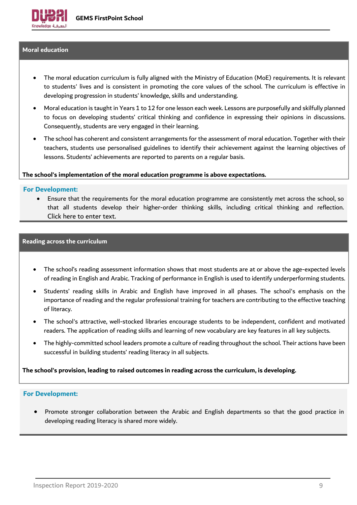#### <span id="page-8-0"></span>**Moral education**

- The moral education curriculum is fully aligned with the Ministry of Education (MoE) requirements. It is relevant to students' lives and is consistent in promoting the core values of the school. The curriculum is effective in developing progression in students' knowledge, skills and understanding.
- Moral education is taught in Years 1 to 12 for one lesson each week. Lessons are purposefully and skilfully planned to focus on developing students' critical thinking and confidence in expressing their opinions in discussions. Consequently, students are very engaged in their learning.
- The school has coherent and consistent arrangements for the assessment of moral education. Together with their teachers, students use personalised guidelines to identify their achievement against the learning objectives of lessons. Students' achievements are reported to parents on a regular basis.

#### **The school's implementation of the moral education programme is above expectations.**

#### **For Development:**

• Ensure that the requirements for the moral education programme are consistently met across the school, so that all students develop their higher-order thinking skills, including critical thinking and reflection. Click here to enter text.

#### <span id="page-8-1"></span>**Reading across the curriculum**

- The school's reading assessment information shows that most students are at or above the age-expected levels of reading in English and Arabic. Tracking of performance in English is used to identify underperforming students.
- Students' reading skills in Arabic and English have improved in all phases. The school's emphasis on the importance of reading and the regular professional training for teachers are contributing to the effective teaching of literacy.
- The school's attractive, well-stocked libraries encourage students to be independent, confident and motivated readers. The application of reading skills and learning of new vocabulary are key features in all key subjects.
- The highly-committed school leaders promote a culture of reading throughout the school. Their actions have been successful in building students' reading literacy in all subjects.

**The school's provision, leading to raised outcomes in reading across the curriculum, is developing.**

#### **For Development:**

• Promote stronger collaboration between the Arabic and English departments so that the good practice in developing reading literacy is shared more widely.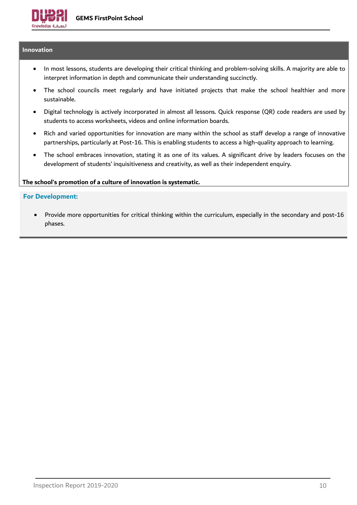# <span id="page-9-0"></span>**Innovation**

- In most lessons, students are developing their critical thinking and problem-solving skills. A majority are able to interpret information in depth and communicate their understanding succinctly.
- The school councils meet regularly and have initiated projects that make the school healthier and more sustainable.
- Digital technology is actively incorporated in almost all lessons. Quick response (QR) code readers are used by students to access worksheets, videos and online information boards.
- Rich and varied opportunities for innovation are many within the school as staff develop a range of innovative partnerships, particularly at Post-16. This is enabling students to access a high-quality approach to learning.
- The school embraces innovation, stating it as one of its values. A significant drive by leaders focuses on the development of students' inquisitiveness and creativity, as well as their independent enquiry.

#### **The school's promotion of a culture of innovation is systematic.**

#### **For Development:**

• Provide more opportunities for critical thinking within the curriculum, especially in the secondary and post-16 phases.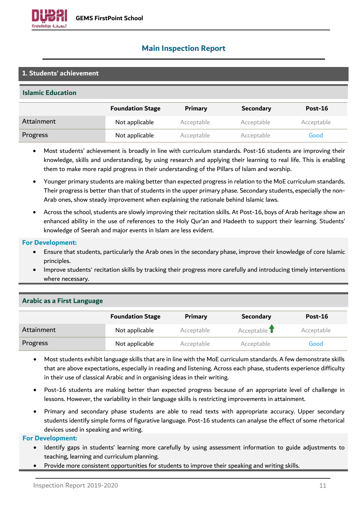

# <span id="page-10-0"></span>**Main Inspection Report**

## **1. Students' achievement**

#### **Islamic Education**

|            | <b>Foundation Stage</b> | Primary    | <b>Secondary</b> | Post-16     |
|------------|-------------------------|------------|------------------|-------------|
| Attainment | Not applicable.         | Acceptable | Acceptable       | Acceptable. |
| Progress   | Not applicable.         | Acceptable | Acceptable       | Good        |

- Most students' achievement is broadly in line with curriculum standards. Post-16 students are improving their knowledge, skills and understanding, by using research and applying their learning to real life. This is enabling them to make more rapid progress in their understanding of the Pillars of Islam and worship.
- Younger primary students are making better than expected progress in relation to the MoE curriculum standards. Their progress is better than that of students in the upper primary phase. Secondary students, especially the non-Arab ones, show steady improvement when explaining the rationale behind Islamic laws.
- Across the school, students are slowly improving their recitation skills. At Post-16, boys of Arab heritage show an enhanced ability in the use of references to the Holy Qur'an and Hadeeth to support their learning. Students' knowledge of Seerah and major events in Islam are less evident.

#### **For Development:**

- Ensure that students, particularly the Arab ones in the secondary phase, improve their knowledge of core Islamic principles.
- Improve students' recitation skills by tracking their progress more carefully and introducing timely interventions where necessary.

|            | <b>Foundation Stage</b> | Primary    | <b>Secondary</b> | <b>Post-16</b> |
|------------|-------------------------|------------|------------------|----------------|
| Attainment | Not applicable.         | Acceptable | Acceptable T     | Acceptable.    |
| Progress   | Not applicable          | Acceptable | Acceptable       | Good           |

#### **Arabic as a First Language**

- Most students exhibit language skills that are in line with the MoE curriculum standards. A few demonstrate skills that are above expectations, especially in reading and listening. Across each phase, students experience difficulty in their use of classical Arabic and in organising ideas in their writing.
- Post-16 students are making better than expected progress because of an appropriate level of challenge in lessons. However, the variability in their language skills is restricting improvements in attainment.
- Primary and secondary phase students are able to read texts with appropriate accuracy. Upper secondary students identify simple forms of figurative language. Post-16 students can analyse the effect of some rhetorical devices used in speaking and writing.

- Identify gaps in students' learning more carefully by using assessment information to guide adjustments to teaching, learning and curriculum planning.
- Provide more consistent opportunities for students to improve their speaking and writing skills.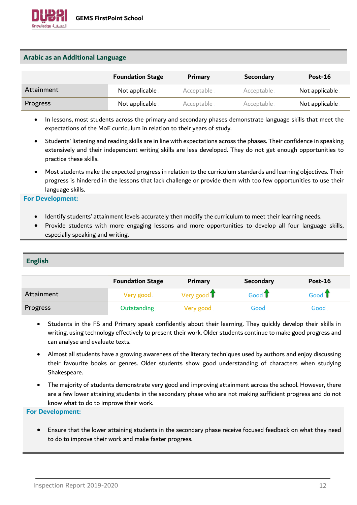## **Arabic as an Additional Language**

|            | <b>Foundation Stage</b> | Primary    | <b>Secondary</b> | Post-16        |
|------------|-------------------------|------------|------------------|----------------|
| Attainment | Not applicable          | Acceptable | Acceptable       | Not applicable |
| Progress   | Not applicable          | Acceptable | Acceptable       | Not applicable |

- In lessons, most students across the primary and secondary phases demonstrate language skills that meet the expectations of the MoE curriculum in relation to their years of study.
- Students' listening and reading skills are in line with expectations across the phases. Their confidence in speaking extensively and their independent writing skills are less developed. They do not get enough opportunities to practice these skills.
- Most students make the expected progress in relation to the curriculum standards and learning objectives. Their progress is hindered in the lessons that lack challenge or provide them with too few opportunities to use their language skills.

#### **For Development:**

- Identify students' attainment levels accurately then modify the curriculum to meet their learning needs.
- Provide students with more engaging lessons and more opportunities to develop all four language skills, especially speaking and writing.

# **English**

|            | <b>Foundation Stage</b> | <b>Primary</b>        | <b>Secondary</b>  | <b>Post-16</b>          |
|------------|-------------------------|-----------------------|-------------------|-------------------------|
| Attainment | Very good               | Very good $\mathbf T$ | Good <sup>T</sup> | Good $\mathbf{\hat{T}}$ |
| Progress   | <b>Outstanding</b>      | Very good             | Good .            | Good                    |

- Students in the FS and Primary speak confidently about their learning. They quickly develop their skills in writing, using technology effectively to present their work. Older students continue to make good progress and can analyse and evaluate texts.
- Almost all students have a growing awareness of the literary techniques used by authors and enjoy discussing their favourite books or genres. Older students show good understanding of characters when studying Shakespeare.
- The majority of students demonstrate very good and improving attainment across the school. However, there are a few lower attaining students in the secondary phase who are not making sufficient progress and do not know what to do to improve their work.

#### **For Development:**

• Ensure that the lower attaining students in the secondary phase receive focused feedback on what they need to do to improve their work and make faster progress.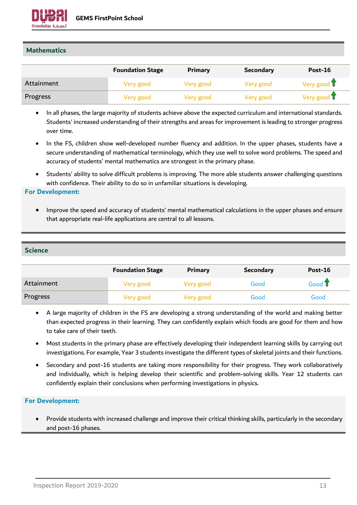

# **Mathematics**

|            | <b>Foundation Stage</b> | <b>Primary</b> | <b>Secondary</b> | Post-16               |
|------------|-------------------------|----------------|------------------|-----------------------|
| Attainment | Very good               | Very good      | Very good        | Very good $\mathbf T$ |
| Progress   | Very good               | Very good      | Very good        | Very good $\mathbf T$ |

- In all phases, the large majority of students achieve above the expected curriculum and international standards. Students' increased understanding of their strengths and areas for improvement is leading to stronger progress over time.
- In the FS, children show well-developed number fluency and addition. In the upper phases, students have a secure understanding of mathematical terminology, which they use well to solve word problems. The speed and accuracy of students' mental mathematics are strongest in the primary phase.
- Students' ability to solve difficult problems is improving. The more able students answer challenging questions with confidence. Their ability to do so in unfamiliar situations is developing.

#### **For Development:**

• Improve the speed and accuracy of students' mental mathematical calculations in the upper phases and ensure that appropriate real-life applications are central to all lessons.

#### **Science**

|            | <b>Foundation Stage</b> | <b>Primary</b> | <b>Secondary</b> | Post-16          |
|------------|-------------------------|----------------|------------------|------------------|
| Attainment | Very good               | Very good      | Good             | Good $\mathbb T$ |
| Progress   | Very good               | Very good      | Good             | Good             |

- A large majority of children in the FS are developing a strong understanding of the world and making better than expected progress in their learning. They can confidently explain which foods are good for them and how to take care of their teeth.
- Most students in the primary phase are effectively developing their independent learning skills by carrying out investigations. For example, Year 3 students investigate the different types of skeletal joints and their functions.
- Secondary and post-16 students are taking more responsibility for their progress. They work collaboratively and individually, which is helping develop their scientific and problem-solving skills. Year 12 students can confidently explain their conclusions when performing investigations in physics.

#### **For Development:**

• Provide students with increased challenge and improve their critical thinking skills, particularly in the secondary and post-16 phases.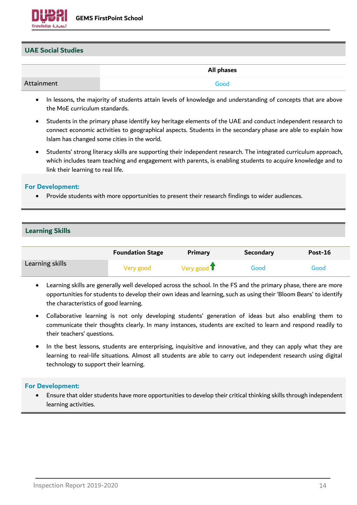

## **UAE Social Studies**

|            | All phases |
|------------|------------|
| Attainment | Good       |

- In lessons, the majority of students attain levels of knowledge and understanding of concepts that are above the MoE curriculum standards.
- Students in the primary phase identify key heritage elements of the UAE and conduct independent research to connect economic activities to geographical aspects. Students in the secondary phase are able to explain how Islam has changed some cities in the world.
- Students' strong literacy skills are supporting their independent research. The integrated curriculum approach, which includes team teaching and engagement with parents, is enabling students to acquire knowledge and to link their learning to real life.

#### **For Development:**

• Provide students with more opportunities to present their research findings to wider audiences.

#### **Learning Skills**

|                 | <b>Foundation Stage</b> | Primary     | <b>Secondary</b> | <b>Post-16</b> |
|-----------------|-------------------------|-------------|------------------|----------------|
| Learning skills | Very good               | Very good T | Good             | Good.          |

- Learning skills are generally well developed across the school. In the FS and the primary phase, there are more opportunities for students to develop their own ideas and learning, such as using their 'Bloom Bears' to identify the characteristics of good learning.
- Collaborative learning is not only developing students' generation of ideas but also enabling them to communicate their thoughts clearly. In many instances, students are excited to learn and respond readily to their teachers' questions.
- In the best lessons, students are enterprising, inquisitive and innovative, and they can apply what they are learning to real-life situations. Almost all students are able to carry out independent research using digital technology to support their learning.

#### **For Development:**

• Ensure that older students have more opportunities to develop their critical thinking skills through independent learning activities.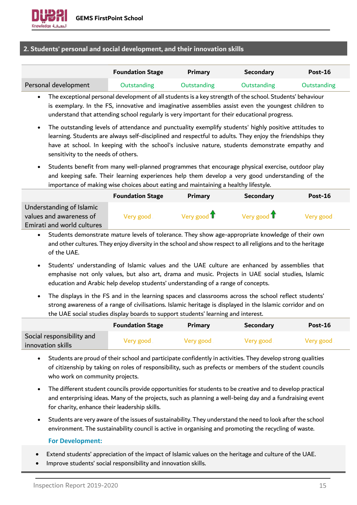## **2. Students' personal and social development, and their innovation skills**

|                      | <b>Foundation Stage</b> | Primary            | <b>Secondary</b> | $Post-16$   |
|----------------------|-------------------------|--------------------|------------------|-------------|
| Personal development | Outstanding             | <b>Outstanding</b> | Outstanding      | Outstanding |

- The exceptional personal development of all students is a key strength of the school. Students' behaviour is exemplary. In the FS, innovative and imaginative assemblies assist even the youngest children to understand that attending school regularly is very important for their educational progress.
- The outstanding levels of attendance and punctuality exemplify students' highly positive attitudes to learning. Students are always self-disciplined and respectful to adults. They enjoy the friendships they have at school. In keeping with the school's inclusive nature, students demonstrate empathy and sensitivity to the needs of others.
- Students benefit from many well-planned programmes that encourage physical exercise, outdoor play and keeping safe. Their learning experiences help them develop a very good understanding of the importance of making wise choices about eating and maintaining a healthy lifestyle.

|                                                     | <b>Foundation Stage</b> | <b>Primary</b>               | <b>Secondary</b>             | Post-16   |
|-----------------------------------------------------|-------------------------|------------------------------|------------------------------|-----------|
| Understanding of Islamic<br>values and awareness of | Very good               | Very good $\hat{\mathbf{T}}$ | Very good $\mathbf{\hat{T}}$ | Very good |
| Emirati and world cultures                          |                         |                              |                              |           |

- Students demonstrate mature levels of tolerance. They show age-appropriate knowledge of their own and other cultures. They enjoy diversity in the school and show respect to all religions and to the heritage of the UAE.
- Students' understanding of Islamic values and the UAE culture are enhanced by assemblies that emphasise not only values, but also art, drama and music. Projects in UAE social studies, Islamic education and Arabic help develop students' understanding of a range of concepts.
- The displays in the FS and in the learning spaces and classrooms across the school reflect students' strong awareness of a range of civilisations. Islamic heritage is displayed in the Islamic corridor and on the UAE social studies display boards to support students' learning and interest.

|                                                | <b>Foundation Stage</b> | <b>Primary</b> | <b>Secondary</b> | Post-16   |
|------------------------------------------------|-------------------------|----------------|------------------|-----------|
| Social responsibility and<br>innovation skills | Very good               | Very good      | Very good        | Very good |

- Students are proud of their school and participate confidently in activities. They develop strong qualities of citizenship by taking on roles of responsibility, such as prefects or members of the student councils who work on community projects.
- The different student councils provide opportunities for students to be creative and to develop practical and enterprising ideas. Many of the projects, such as planning a well-being day and a fundraising event for charity, enhance their leadership skills.
- Students are very aware of the issues of sustainability. They understand the need to look after the school environment. The sustainability council is active in organising and promoting the recycling of waste.

- Extend students' appreciation of the impact of Islamic values on the heritage and culture of the UAE.
- Improve students' social responsibility and innovation skills.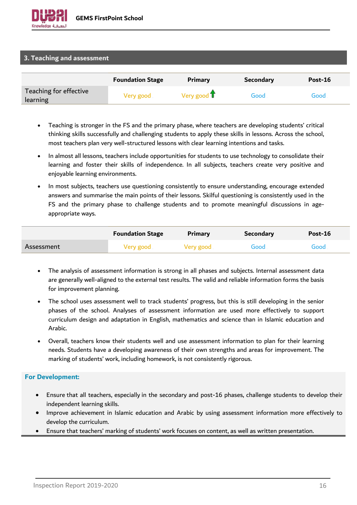#### **3. Teaching and assessment**

|                                    | <b>Foundation Stage</b> | <b>Primary</b>        | <b>Secondary</b> | Post-16 |
|------------------------------------|-------------------------|-----------------------|------------------|---------|
| Teaching for effective<br>learning | Very good               | Very good $\mathbf T$ | Good             | Good    |

- Teaching is stronger in the FS and the primary phase, where teachers are developing students' critical thinking skills successfully and challenging students to apply these skills in lessons. Across the school, most teachers plan very well-structured lessons with clear learning intentions and tasks.
- In almost all lessons, teachers include opportunities for students to use technology to consolidate their learning and foster their skills of independence. In all subjects, teachers create very positive and enjoyable learning environments.
- In most subjects, teachers use questioning consistently to ensure understanding, encourage extended answers and summarise the main points of their lessons. Skilful questioning is consistently used in the FS and the primary phase to challenge students and to promote meaningful discussions in ageappropriate ways.

|            | <b>Foundation Stage</b> | <b>Primary</b> | <b>Secondary</b> | Post-16 |
|------------|-------------------------|----------------|------------------|---------|
| Assessment | Very good               | Very good      | Good             | Good    |

- The analysis of assessment information is strong in all phases and subjects. Internal assessment data are generally well-aligned to the external test results. The valid and reliable information forms the basis for improvement planning.
- The school uses assessment well to track students' progress, but this is still developing in the senior phases of the school. Analyses of assessment information are used more effectively to support curriculum design and adaptation in English, mathematics and science than in Islamic education and Arabic.
- Overall, teachers know their students well and use assessment information to plan for their learning needs. Students have a developing awareness of their own strengths and areas for improvement. The marking of students' work, including homework, is not consistently rigorous.

- Ensure that all teachers, especially in the secondary and post-16 phases, challenge students to develop their independent learning skills.
- Improve achievement in Islamic education and Arabic by using assessment information more effectively to develop the curriculum.
- Ensure that teachers' marking of students' work focuses on content, as well as written presentation.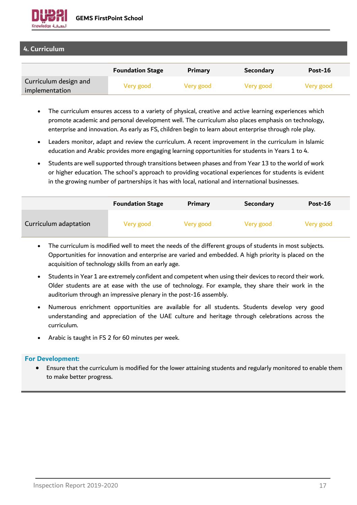

# **4. Curriculum**

|                                         | <b>Foundation Stage</b> | Primary   | <b>Secondary</b> | Post-16   |
|-----------------------------------------|-------------------------|-----------|------------------|-----------|
| Curriculum design and<br>implementation | Very good               | Very good | Very good        | Very good |

- The curriculum ensures access to a variety of physical, creative and active learning experiences which promote academic and personal development well. The curriculum also places emphasis on technology, enterprise and innovation. As early as FS, children begin to learn about enterprise through role play.
- Leaders monitor, adapt and review the curriculum. A recent improvement in the curriculum in Islamic education and Arabic provides more engaging learning opportunities for students in Years 1 to 4.
- Students are well supported through transitions between phases and from Year 13 to the world of work or higher education. The school's approach to providing vocational experiences for students is evident in the growing number of partnerships it has with local, national and international businesses.

|                       | <b>Foundation Stage</b> | Primary   | <b>Secondary</b> | Post-16   |
|-----------------------|-------------------------|-----------|------------------|-----------|
| Curriculum adaptation | Very good               | Very good | Very good        | Very good |

- The curriculum is modified well to meet the needs of the different groups of students in most subjects. Opportunities for innovation and enterprise are varied and embedded. A high priority is placed on the acquisition of technology skills from an early age.
- Students in Year 1 are extremely confident and competent when using their devices to record their work. Older students are at ease with the use of technology. For example, they share their work in the auditorium through an impressive plenary in the post-16 assembly.
- Numerous enrichment opportunities are available for all students. Students develop very good understanding and appreciation of the UAE culture and heritage through celebrations across the curriculum.
- Arabic is taught in FS 2 for 60 minutes per week.

#### **For Development:**

• Ensure that the curriculum is modified for the lower attaining students and regularly monitored to enable them to make better progress.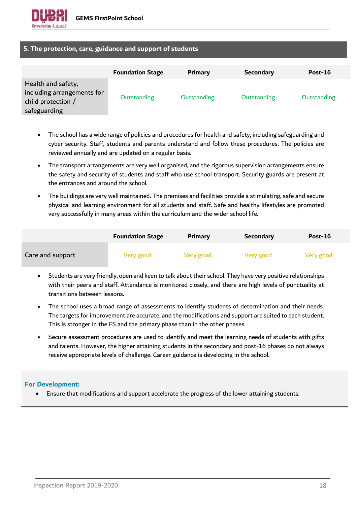

# **5. The protection, care, guidance and support of students**

|                                                                                        | <b>Foundation Stage</b> | <b>Primary</b>     | <b>Secondary</b> | Post-16     |
|----------------------------------------------------------------------------------------|-------------------------|--------------------|------------------|-------------|
| Health and safety,<br>including arrangements for<br>child protection /<br>safeguarding | <b>Outstanding</b>      | <b>Outstanding</b> | Outstanding      | Outstanding |

- The school has a wide range of policies and procedures for health and safety, including safeguarding and cyber security. Staff, students and parents understand and follow these procedures. The policies are reviewed annually and are updated on a regular basis.
- The transport arrangements are very well organised, and the rigorous supervision arrangements ensure the safety and security of students and staff who use school transport. Security guards are present at the entrances and around the school.
- The buildings are very well maintained. The premises and facilities provide a stimulating, safe and secure physical and learning environment for all students and staff. Safe and healthy lifestyles are promoted very successfully in many areas within the curriculum and the wider school life.

|                  | <b>Foundation Stage</b> | Primary   | <b>Secondary</b> | Post-16   |
|------------------|-------------------------|-----------|------------------|-----------|
| Care and support | Very good               | Very good | Very good        | Very good |

- Students are very friendly, open and keen to talk about their school. They have very positive relationships with their peers and staff. Attendance is monitored closely, and there are high levels of punctuality at transitions between lessons.
- The school uses a broad range of assessments to identify students of determination and their needs. The targets for improvement are accurate, and the modifications and support are suited to each student. This is stronger in the FS and the primary phase than in the other phases.
- Secure assessment procedures are used to identify and meet the learning needs of students with gifts and talents. However, the higher attaining students in the secondary and post-16 phases do not always receive appropriate levels of challenge. Career guidance is developing in the school.

# **For Development:**

• Ensure that modifications and support accelerate the progress of the lower attaining students.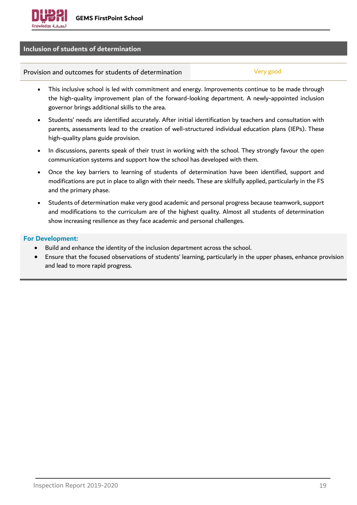## **Inclusion of students of determination**

Provision and outcomes for students of determination Theorem Control Very good

- This inclusive school is led with commitment and energy. Improvements continue to be made through the high-quality improvement plan of the forward-looking department. A newly-appointed inclusion governor brings additional skills to the area.
- Students' needs are identified accurately. After initial identification by teachers and consultation with parents, assessments lead to the creation of well-structured individual education plans (IEPs). These high-quality plans guide provision.
- In discussions, parents speak of their trust in working with the school. They strongly favour the open communication systems and support how the school has developed with them.
- Once the key barriers to learning of students of determination have been identified, support and modifications are put in place to align with their needs. These are skilfully applied, particularly in the FS and the primary phase.
- Students of determination make very good academic and personal progress because teamwork, support and modifications to the curriculum are of the highest quality. Almost all students of determination show increasing resilience as they face academic and personal challenges.

- Build and enhance the identity of the inclusion department across the school.
- Ensure that the focused observations of students' learning, particularly in the upper phases, enhance provision and lead to more rapid progress.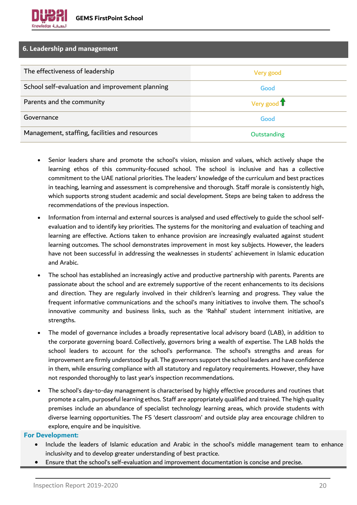## **6. Leadership and management**

| The effectiveness of leadership                 | Very good   |
|-------------------------------------------------|-------------|
| School self-evaluation and improvement planning | Good        |
| Parents and the community                       | Very good T |
| Governance                                      | Good        |
| Management, staffing, facilities and resources  | Outstanding |

- Senior leaders share and promote the school's vision, mission and values, which actively shape the learning ethos of this community-focused school. The school is inclusive and has a collective commitment to the UAE national priorities. The leaders' knowledge of the curriculum and best practices in teaching, learning and assessment is comprehensive and thorough. Staff morale is consistently high, which supports strong student academic and social development. Steps are being taken to address the recommendations of the previous inspection.
- Information from internal and external sources is analysed and used effectively to guide the school selfevaluation and to identify key priorities. The systems for the monitoring and evaluation of teaching and learning are effective. Actions taken to enhance provision are increasingly evaluated against student learning outcomes. The school demonstrates improvement in most key subjects. However, the leaders have not been successful in addressing the weaknesses in students' achievement in Islamic education and Arabic.
- The school has established an increasingly active and productive partnership with parents. Parents are passionate about the school and are extremely supportive of the recent enhancements to its decisions and direction. They are regularly involved in their children's learning and progress. They value the frequent informative communications and the school's many initiatives to involve them. The school's innovative community and business links, such as the 'Rahhal' student internment initiative, are strengths.
- The model of governance includes a broadly representative local advisory board (LAB), in addition to the corporate governing board. Collectively, governors bring a wealth of expertise. The LAB holds the school leaders to account for the school's performance. The school's strengths and areas for improvement are firmly understood by all. The governors support the school leaders and have confidence in them, while ensuring compliance with all statutory and regulatory requirements. However, they have not responded thoroughly to last year's inspection recommendations.
- The school's day-to-day management is characterised by highly effective procedures and routines that promote a calm, purposeful learning ethos. Staff are appropriately qualified and trained. The high quality premises include an abundance of specialist technology learning areas, which provide students with diverse learning opportunities. The FS 'desert classroom' and outside play area encourage children to explore, enquire and be inquisitive.

- Include the leaders of Islamic education and Arabic in the school's middle management team to enhance inclusivity and to develop greater understanding of best practice.
- Ensure that the school's self-evaluation and improvement documentation is concise and precise.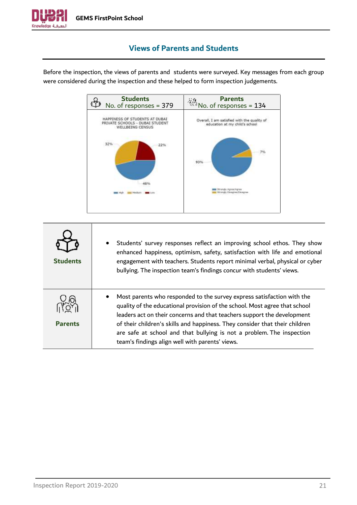

# **Views of Parents and Students**

<span id="page-20-0"></span>Before the inspection, the views of parents and students were surveyed. Key messages from each group were considered during the inspection and these helped to form inspection judgements.



| <b>Students</b> | Students' survey responses reflect an improving school ethos. They show<br>enhanced happiness, optimism, safety, satisfaction with life and emotional<br>engagement with teachers. Students report minimal verbal, physical or cyber<br>bullying. The inspection team's findings concur with students' views.                                                                                                                              |
|-----------------|--------------------------------------------------------------------------------------------------------------------------------------------------------------------------------------------------------------------------------------------------------------------------------------------------------------------------------------------------------------------------------------------------------------------------------------------|
| <b>Parents</b>  | Most parents who responded to the survey express satisfaction with the<br>quality of the educational provision of the school. Most agree that school<br>leaders act on their concerns and that teachers support the development<br>of their children's skills and happiness. They consider that their children<br>are safe at school and that bullying is not a problem. The inspection<br>team's findings align well with parents' views. |